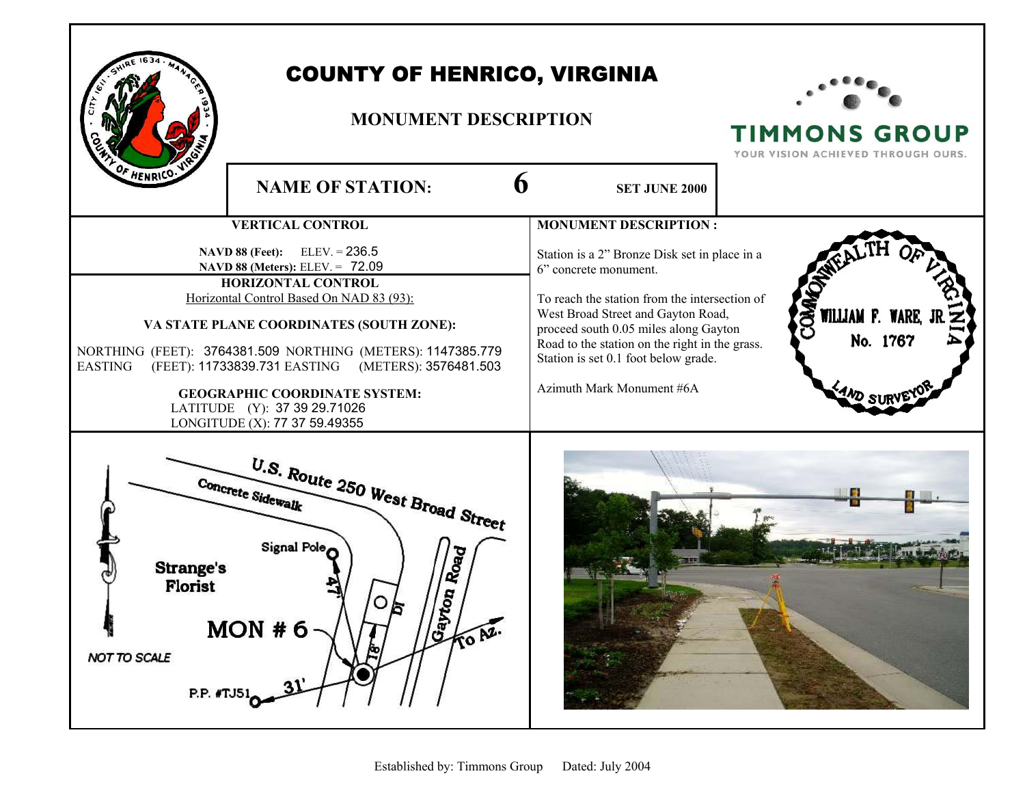